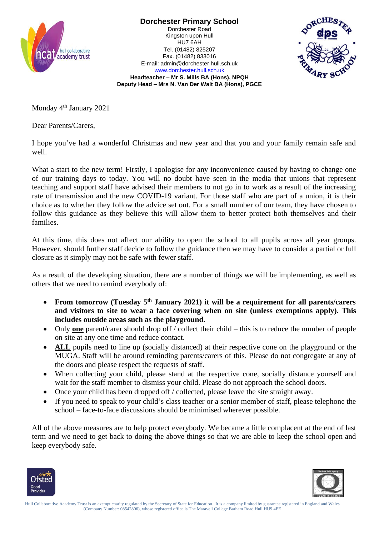

**Dorchester Primary School** Dorchester Road Kingston upon Hull HU7 6AH Tel. (01482) 825207 Fax. (01482) 833016 E-mail: admin@dorchester.hull.sch.uk



[www.dorchester.hull.sch.uk](http://www.dorchester.hull.sch.uk/) **Headteacher – Mr S. Mills BA (Hons), NPQH Deputy Head – Mrs N. Van Der Walt BA (Hons), PGCE**

Monday 4<sup>th</sup> January 2021

Dear Parents/Carers,

I hope you've had a wonderful Christmas and new year and that you and your family remain safe and well.

What a start to the new term! Firstly, I apologise for any inconvenience caused by having to change one of our training days to today. You will no doubt have seen in the media that unions that represent teaching and support staff have advised their members to not go in to work as a result of the increasing rate of transmission and the new COVID-19 variant. For those staff who are part of a union, it is their choice as to whether they follow the advice set out. For a small number of our team, they have chosen to follow this guidance as they believe this will allow them to better protect both themselves and their families.

At this time, this does not affect our ability to open the school to all pupils across all year groups. However, should further staff decide to follow the guidance then we may have to consider a partial or full closure as it simply may not be safe with fewer staff.

As a result of the developing situation, there are a number of things we will be implementing, as well as others that we need to remind everybody of:

- From tomorrow (Tuesday 5<sup>th</sup> January 2021) it will be a requirement for all parents/carers **and visitors to site to wear a face covering when on site (unless exemptions apply). This includes outside areas such as the playground.**
- Only **one** parent/carer should drop off / collect their child this is to reduce the number of people on site at any one time and reduce contact.
- **ALL** pupils need to line up (socially distanced) at their respective cone on the playground or the MUGA. Staff will be around reminding parents/carers of this. Please do not congregate at any of the doors and please respect the requests of staff.
- When collecting your child, please stand at the respective cone, socially distance yourself and wait for the staff member to dismiss your child. Please do not approach the school doors.
- Once your child has been dropped of f / collected, please leave the site straight away.
- If you need to speak to your child's class teacher or a senior member of staff, please telephone the school – face-to-face discussions should be minimised wherever possible.

All of the above measures are to help protect everybody. We became a little complacent at the end of last term and we need to get back to doing the above things so that we are able to keep the school open and keep everybody safe.